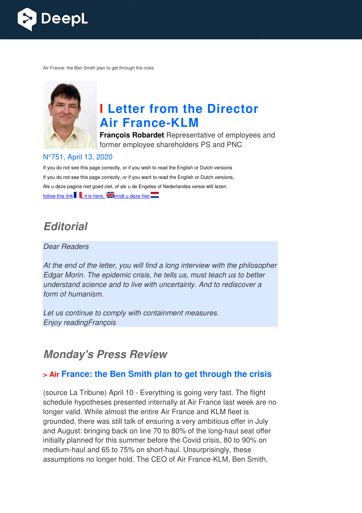

Air France: the Ben Smith plan to get through the crisis



# **I Letter from the Director Air France France-KLM**

**François Robardet** Representative of employees and former employee shareholders PS and PNC

#### N°751, April 13, 2020

If you do not see this page correctly, or if you wish to read the English or Dutch versions If you do not see this page correctly, or if you want to read the English or Dutch versions, Als u deze pagina niet goed ziet, of als u de Engelse of Nederlandse versie wilt lezen, follow this link  $\blacksquare$ , it is here,  $\blacktriangleright$  windt u deze hier

## *Editorial*

#### Dear Readers

At the end of the letter, you will find a long interview with the philosopher Edgar Morin. The epidemic crisis, he tells us, must teach us to better understand science and to live with uncertainty. And to rediscover a form of humanism.

Let us continue to comply with containment measures. Enjoy readingFrançois

## *Monday's Press Review*

## **> Air France: the Ben Smith plan to get through the crisis**

(source La Tribune) April 10 - Everything is going very fast. The flight schedule hypotheses presented internally at Air France last week are no longer valid. While almost the entire Air France and KLM fleet is grounded, there was still talk of ensuring a very ambitious offer in July and August: bringing back on line 70 to 80% of the long-haul seat offer initially planned for this summer before the Covid crisis, 80 to 90% on initially planned for this summer before the Covid crisis, 80 to 90%<br>medium-haul and 65 to 75% on short-haul. Unsurprisingly, these assumptions no longer hold. The CEO of Air France-KLM, Ben Smith, ng-haul<br>sis, 80 to<br>singly, the<br>KLM, Be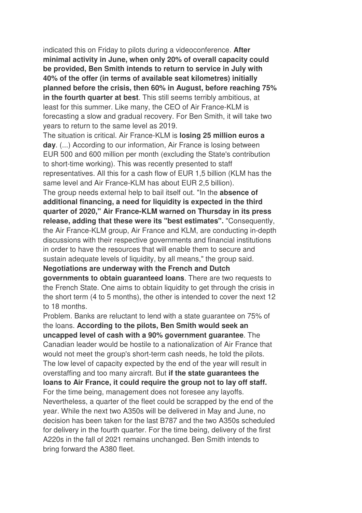indicated this on Friday to pilots during a videoconference. **After minimal activity in June, when only 20% of overall capacity could be provided, Ben Smith intends to return to service in July with 40% of the offer (in terms of available seat kilometres) initially planned before the crisis, then 60% in August, before reaching 75% in the fourth quarter at best**. This still seems terribly ambitious, at least for this summer. Like many, the CEO of Air France-KLM is forecasting a slow and gradual recovery. For Ben Smith, it will take two years to return to the same level as 2019.

The situation is critical. Air France-KLM is **losing 25 million euros a day**. (...) According to our information, Air France is losing between EUR 500 and 600 million per month (excluding the State's contribution to short-time working). This was recently presented to staff representatives. All this for a cash flow of EUR 1,5 billion (KLM has the same level and Air France-KLM has about EUR 2,5 billion).

The group needs external help to bail itself out. "In the **absence of additional financing, a need for liquidity is expected in the third quarter of 2020," Air France-KLM warned on Thursday in its press release, adding that these were its "best estimates".** "Consequently, the Air France-KLM group, Air France and KLM, are conducting in-depth discussions with their respective governments and financial institutions in order to have the resources that will enable them to secure and sustain adequate levels of liquidity, by all means," the group said.

#### **Negotiations are underway with the French and Dutch**

**governments to obtain guaranteed loans**. There are two requests to the French State. One aims to obtain liquidity to get through the crisis in the short term (4 to 5 months), the other is intended to cover the next 12 to 18 months.

Problem. Banks are reluctant to lend with a state guarantee on 75% of the loans. **According to the pilots, Ben Smith would seek an uncapped level of cash with a 90% government guarantee**. The Canadian leader would be hostile to a nationalization of Air France that would not meet the group's short-term cash needs, he told the pilots. The low level of capacity expected by the end of the year will result in overstaffing and too many aircraft. But **if the state guarantees the loans to Air France, it could require the group not to lay off staff.**  For the time being, management does not foresee any layoffs. Nevertheless, a quarter of the fleet could be scrapped by the end of the year. While the next two A350s will be delivered in May and June, no decision has been taken for the last B787 and the two A350s scheduled for delivery in the fourth quarter. For the time being, delivery of the first A220s in the fall of 2021 remains unchanged. Ben Smith intends to bring forward the A380 fleet.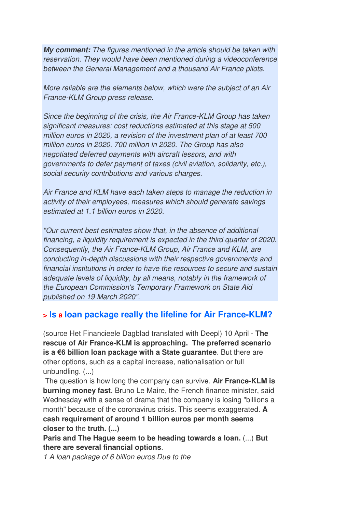*My comment:* The figures mentioned in the article should be taken with reservation. They would have been mentioned during a videoconference between the General Management and a thousand Air France pilots.

More reliable are the elements below, which were the subject of an Air France-KLM Group press release.

Since the beginning of the crisis, the Air France-KLM Group has taken significant measures: cost reductions estimated at this stage at 500 million euros in 2020, a revision of the investment plan of at least 700 million euros in 2020. 700 million in 2020. The Group has also negotiated deferred payments with aircraft lessors, and with governments to defer payment of taxes (civil aviation, solidarity, etc.), social security contributions and various charges.

Air France and KLM have each taken steps to manage the reduction in activity of their employees, measures which should generate savings estimated at 1.1 billion euros in 2020.

"Our current best estimates show that, in the absence of additional financing, a liquidity requirement is expected in the third quarter of 2020. Consequently, the Air France-KLM Group, Air France and KLM, are conducting in-depth discussions with their respective governments and financial institutions in order to have the resources to secure and sustain adequate levels of liquidity, by all means, notably in the framework of the European Commission's Temporary Framework on State Aid published on 19 March 2020".

### **> Is a loan package really the lifeline for Air France-KLM?**

(source Het Financieele Dagblad translated with Deepl) 10 April - **The rescue of Air France-KLM is approaching. The preferred scenario is a €6 billion loan package with a State guarantee**. But there are other options, such as a capital increase, nationalisation or full unbundling. (...)

 The question is how long the company can survive. **Air France-KLM is burning money fast**. Bruno Le Maire, the French finance minister, said Wednesday with a sense of drama that the company is losing "billions a month" because of the coronavirus crisis. This seems exaggerated. **A cash requirement of around 1 billion euros per month seems closer to** the **truth. (...)** 

**Paris and The Hague seem to be heading towards a loan.** (...) **But there are several financial options**.

1 A loan package of 6 billion euros Due to the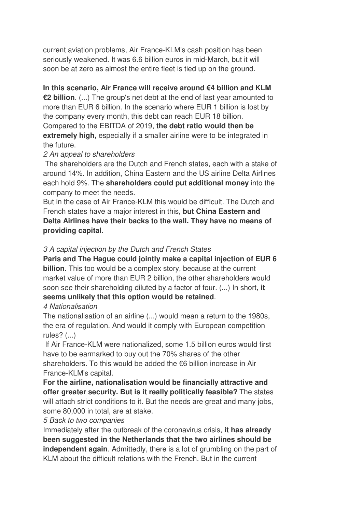current aviation problems, Air France-KLM's cash position has been seriously weakened. It was 6.6 billion euros in mid-March, but it will soon be at zero as almost the entire fleet is tied up on the ground.

**In this scenario, Air France will receive around €4 billion and KLM €2 billion**. (...) The group's net debt at the end of last year amounted to more than EUR 6 billion. In the scenario where EUR 1 billion is lost by the company every month, this debt can reach EUR 18 billion. Compared to the EBITDA of 2019, **the debt ratio would then be extremely high,** especially if a smaller airline were to be integrated in the future.

#### 2 An appeal to shareholders

The shareholders are the Dutch and French states, each with a stake of around 14%. In addition, China Eastern and the US airline Delta Airlines each hold 9%. The **shareholders could put additional money** into the company to meet the needs.

But in the case of Air France-KLM this would be difficult. The Dutch and French states have a major interest in this, **but China Eastern and Delta Airlines have their backs to the wall. They have no means of providing capital**.

#### 3 A capital injection by the Dutch and French States

**Paris and The Hague could jointly make a capital injection of EUR 6 billion**. This too would be a complex story, because at the current market value of more than EUR 2 billion, the other shareholders would soon see their shareholding diluted by a factor of four. (...) In short, **it seems unlikely that this option would be retained**.

#### 4 Nationalisation

The nationalisation of an airline (...) would mean a return to the 1980s, the era of regulation. And would it comply with European competition rules? (...)

 If Air France-KLM were nationalized, some 1.5 billion euros would first have to be earmarked to buy out the 70% shares of the other shareholders. To this would be added the €6 billion increase in Air France-KLM's capital.

**For the airline, nationalisation would be financially attractive and offer greater security. But is it really politically feasible?** The states will attach strict conditions to it. But the needs are great and many jobs, some 80,000 in total, are at stake.

#### 5 Back to two companies

Immediately after the outbreak of the coronavirus crisis, **it has already been suggested in the Netherlands that the two airlines should be independent again**. Admittedly, there is a lot of grumbling on the part of KLM about the difficult relations with the French. But in the current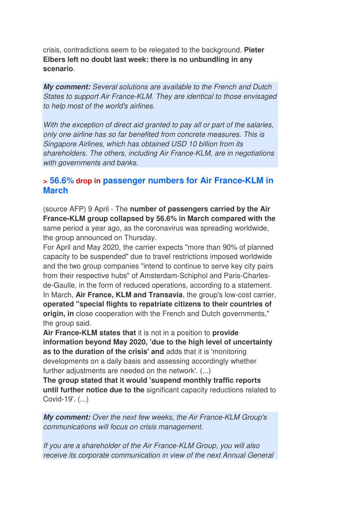crisis, contradictions seem to be relegated to the background. **Pieter Elbers left no doubt last week: there is no unbundling in any scenario**.

*My comment:* Several solutions are available to the French and Dutch States to support Air France-KLM. They are identical to those envisaged to help most of the world's airlines.

With the exception of direct aid granted to pay all or part of the salaries, only one airline has so far benefited from concrete measures. This is Singapore Airlines, which has obtained USD 10 billion from its shareholders. The others, including Air France-KLM, are in negotiations with governments and banks.

### **> 56.6% drop in passenger numbers for Air France-KLM in March**

(source AFP) 9 April - The **number of passengers carried by the Air France-KLM group collapsed by 56.6% in March compared with the** same period a year ago, as the coronavirus was spreading worldwide, the group announced on Thursday.

For April and May 2020, the carrier expects "more than 90% of planned capacity to be suspended" due to travel restrictions imposed worldwide and the two group companies "intend to continue to serve key city pairs from their respective hubs" of Amsterdam-Schiphol and Paris-Charlesde-Gaulle, in the form of reduced operations, according to a statement. In March, **Air France, KLM and Transavia**, the group's low-cost carrier, **operated "special flights to repatriate citizens to their countries of origin, in** close cooperation with the French and Dutch governments," the group said.

**Air France-KLM states that** it is not in a position to **provide information beyond May 2020, 'due to the high level of uncertainty as to the duration of the crisis' and** adds that it is 'monitoring developments on a daily basis and assessing accordingly whether further adjustments are needed on the network'. (...)

**The group stated that it would 'suspend monthly traffic reports until further notice due to the** significant capacity reductions related to Covid-19'. (...)

*My comment:* Over the next few weeks, the Air France-KLM Group's communications will focus on crisis management.

If you are a shareholder of the Air France-KLM Group, you will also receive its corporate communication in view of the next Annual General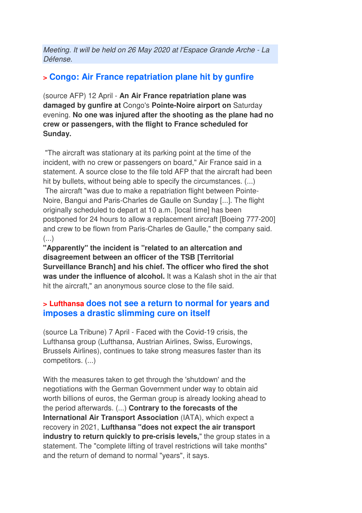Meeting. It will be held on 26 May 2020 at l'Espace Grande Arche - La Défense.

## **> Congo: Air France repatriation plane hit by gunfire**

(source AFP) 12 April - **An Air France repatriation plane was damaged by gunfire at** Congo's **Pointe-Noire airport on** Saturday evening. **No one was injured after the shooting as the plane had no crew or passengers, with the flight to France scheduled for Sunday.** 

 "The aircraft was stationary at its parking point at the time of the incident, with no crew or passengers on board," Air France said in a statement. A source close to the file told AFP that the aircraft had been hit by bullets, without being able to specify the circumstances. (...) The aircraft "was due to make a repatriation flight between Pointe-Noire, Bangui and Paris-Charles de Gaulle on Sunday [...]. The flight originally scheduled to depart at 10 a.m. [local time] has been postponed for 24 hours to allow a replacement aircraft [Boeing 777-200] and crew to be flown from Paris-Charles de Gaulle," the company said. (...)

**"Apparently" the incident is "related to an altercation and disagreement between an officer of the TSB [Territorial Surveillance Branch] and his chief. The officer who fired the shot was under the influence of alcohol.** It was a Kalash shot in the air that hit the aircraft," an anonymous source close to the file said.

### **> Lufthansa does not see a return to normal for years and imposes a drastic slimming cure on itself**

(source La Tribune) 7 April - Faced with the Covid-19 crisis, the Lufthansa group (Lufthansa, Austrian Airlines, Swiss, Eurowings, Brussels Airlines), continues to take strong measures faster than its competitors. (...)

With the measures taken to get through the 'shutdown' and the negotiations with the German Government under way to obtain aid worth billions of euros, the German group is already looking ahead to the period afterwards. (...) **Contrary to the forecasts of the International Air Transport Association** (IATA), which expect a recovery in 2021, **Lufthansa "does not expect the air transport industry to return quickly to pre-crisis levels,**" the group states in a statement. The "complete lifting of travel restrictions will take months" and the return of demand to normal "years", it says.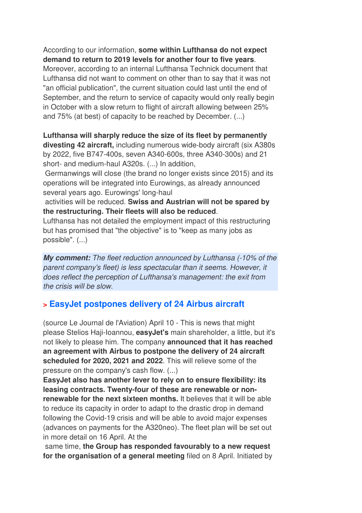According to our information, **some within Lufthansa do not expect demand to return to 2019 levels for another four to five years**. Moreover, according to an internal Lufthansa Technick document that Lufthansa did not want to comment on other than to say that it was not "an official publication", the current situation could last until the end of September, and the return to service of capacity would only really begin in October with a slow return to flight of aircraft allowing between 25% and 75% (at best) of capacity to be reached by December. (...)

**Lufthansa will sharply reduce the size of its fleet by permanently divesting 42 aircraft,** including numerous wide-body aircraft (six A380s by 2022, five B747-400s, seven A340-600s, three A340-300s) and 21 short- and medium-haul A320s. (...) In addition,

 Germanwings will close (the brand no longer exists since 2015) and its operations will be integrated into Eurowings, as already announced several years ago. Eurowings' long-haul

 activities will be reduced. **Swiss and Austrian will not be spared by the restructuring. Their fleets will also be reduced**.

Lufthansa has not detailed the employment impact of this restructuring but has promised that "the objective" is to "keep as many jobs as possible". (...)

*My comment:* The fleet reduction announced by Lufthansa (-10% of the parent company's fleet) is less spectacular than it seems. However, it does reflect the perception of Lufthansa's management: the exit from the crisis will be slow.

## **> EasyJet postpones delivery of 24 Airbus aircraft**

(source Le Journal de l'Aviation) April 10 - This is news that might please Stelios Haji-Ioannou, **easyJet's** main shareholder, a little, but it's not likely to please him. The company **announced that it has reached an agreement with Airbus to postpone the delivery of 24 aircraft scheduled for 2020, 2021 and 2022**. This will relieve some of the pressure on the company's cash flow. (...)

**EasyJet also has another lever to rely on to ensure flexibility: its leasing contracts. Twenty-four of these are renewable or nonrenewable for the next sixteen months.** It believes that it will be able to reduce its capacity in order to adapt to the drastic drop in demand following the Covid-19 crisis and will be able to avoid major expenses (advances on payments for the A320neo). The fleet plan will be set out in more detail on 16 April. At the

 same time, **the Group has responded favourably to a new request for the organisation of a general meeting** filed on 8 April. Initiated by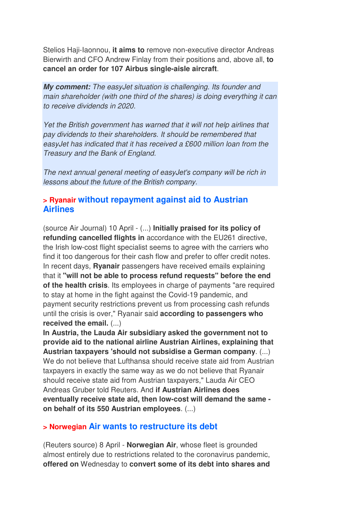Stelios Haji-Iaonnou, **it aims to** remove non-executive director Andreas Bierwirth and CFO Andrew Finlay from their positions and, above all, **to cancel an order for 107 Airbus single-aisle aircraft**.

*My comment:* The easyJet situation is challenging. Its founder and main shareholder (with one third of the shares) is doing everything it can to receive dividends in 2020.

Yet the British government has warned that it will not help airlines that pay dividends to their shareholders. It should be remembered that easyJet has indicated that it has received a £600 million loan from the Treasury and the Bank of England.

The next annual general meeting of easyJet's company will be rich in lessons about the future of the British company.

## **> Ryanair without repayment against aid to Austrian Airlines**

(source Air Journal) 10 April - (...) **Initially praised for its policy of refunding cancelled flights in** accordance with the EU261 directive, the Irish low-cost flight specialist seems to agree with the carriers who find it too dangerous for their cash flow and prefer to offer credit notes. In recent days, **Ryanair** passengers have received emails explaining that it **"will not be able to process refund requests" before the end of the health crisis**. Its employees in charge of payments "are required to stay at home in the fight against the Covid-19 pandemic, and payment security restrictions prevent us from processing cash refunds until the crisis is over," Ryanair said **according to passengers who received the email.** (...)

**In Austria, the Lauda Air subsidiary asked the government not to provide aid to the national airline Austrian Airlines, explaining that Austrian taxpayers 'should not subsidise a German company**. (...) We do not believe that Lufthansa should receive state aid from Austrian taxpayers in exactly the same way as we do not believe that Ryanair should receive state aid from Austrian taxpayers," Lauda Air CEO Andreas Gruber told Reuters. And **if Austrian Airlines does eventually receive state aid, then low-cost will demand the same on behalf of its 550 Austrian employees**. (...)

### **> Norwegian Air wants to restructure its debt**

(Reuters source) 8 April - **Norwegian Air**, whose fleet is grounded almost entirely due to restrictions related to the coronavirus pandemic, **offered on** Wednesday to **convert some of its debt into shares and**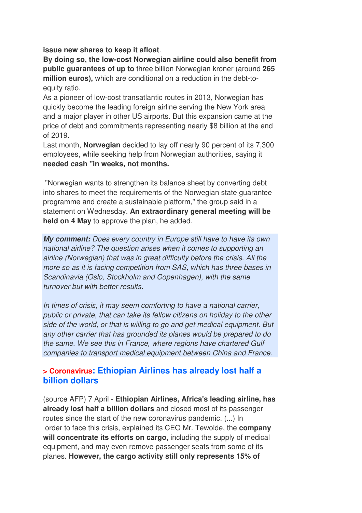**issue new shares to keep it afloat**.

**By doing so, the low-cost Norwegian airline could also benefit from public guarantees of up to** three billion Norwegian kroner (around **265 million euros),** which are conditional on a reduction in the debt-toequity ratio.

As a pioneer of low-cost transatlantic routes in 2013, Norwegian has quickly become the leading foreign airline serving the New York area and a major player in other US airports. But this expansion came at the price of debt and commitments representing nearly \$8 billion at the end of 2019.

Last month, **Norwegian** decided to lay off nearly 90 percent of its 7,300 employees, while seeking help from Norwegian authorities, saying it **needed cash "in weeks, not months.** 

 "Norwegian wants to strengthen its balance sheet by converting debt into shares to meet the requirements of the Norwegian state guarantee programme and create a sustainable platform," the group said in a statement on Wednesday. **An extraordinary general meeting will be held on 4 May** to approve the plan, he added.

*My comment:* Does every country in Europe still have to have its own national airline? The question arises when it comes to supporting an airline (Norwegian) that was in great difficulty before the crisis. All the more so as it is facing competition from SAS, which has three bases in Scandinavia (Oslo, Stockholm and Copenhagen), with the same turnover but with better results.

In times of crisis, it may seem comforting to have a national carrier, public or private, that can take its fellow citizens on holiday to the other side of the world, or that is willing to go and get medical equipment. But any other carrier that has grounded its planes would be prepared to do the same. We see this in France, where regions have chartered Gulf companies to transport medical equipment between China and France.

### **> Coronavirus: Ethiopian Airlines has already lost half a billion dollars**

(source AFP) 7 April - **Ethiopian Airlines, Africa's leading airline, has already lost half a billion dollars** and closed most of its passenger routes since the start of the new coronavirus pandemic. (...) In order to face this crisis, explained its CEO Mr. Tewolde, the **company will concentrate its efforts on cargo,** including the supply of medical equipment, and may even remove passenger seats from some of its planes. **However, the cargo activity still only represents 15% of**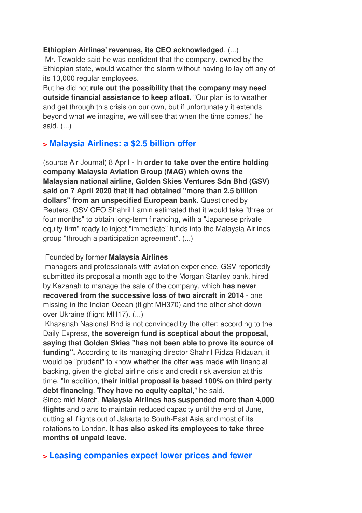#### **Ethiopian Airlines' revenues, its CEO acknowledged**. (...)

 Mr. Tewolde said he was confident that the company, owned by the Ethiopian state, would weather the storm without having to lay off any of its 13,000 regular employees.

But he did not **rule out the possibility that the company may need outside financial assistance to keep afloat.** "Our plan is to weather and get through this crisis on our own, but if unfortunately it extends beyond what we imagine, we will see that when the time comes," he said. (...)

## **> Malaysia Airlines: a \$2.5 billion offer**

(source Air Journal) 8 April - In **order to take over the entire holding company Malaysia Aviation Group (MAG) which owns the Malaysian national airline, Golden Skies Ventures Sdn Bhd (GSV) said on 7 April 2020 that it had obtained "more than 2.5 billion dollars" from an unspecified European bank**. Questioned by Reuters, GSV CEO Shahril Lamin estimated that it would take "three or four months" to obtain long-term financing, with a "Japanese private equity firm" ready to inject "immediate" funds into the Malaysia Airlines group "through a participation agreement". (...)

#### Founded by former **Malaysia Airlines**

 managers and professionals with aviation experience, GSV reportedly submitted its proposal a month ago to the Morgan Stanley bank, hired by Kazanah to manage the sale of the company, which **has never recovered from the successive loss of two aircraft in 2014** - one missing in the Indian Ocean (flight MH370) and the other shot down over Ukraine (flight MH17). (...)

 Khazanah Nasional Bhd is not convinced by the offer: according to the Daily Express, **the sovereign fund is sceptical about the proposal, saying that Golden Skies "has not been able to prove its source of funding".** According to its managing director Shahril Ridza Ridzuan, it would be "prudent" to know whether the offer was made with financial backing, given the global airline crisis and credit risk aversion at this time. "In addition, **their initial proposal is based 100% on third party debt financing**. **They have no equity capital,**" he said. Since mid-March, **Malaysia Airlines has suspended more than 4,000 flights** and plans to maintain reduced capacity until the end of June, cutting all flights out of Jakarta to South-East Asia and most of its rotations to London. **It has also asked its employees to take three months of unpaid leave**.

### **> Leasing companies expect lower prices and fewer**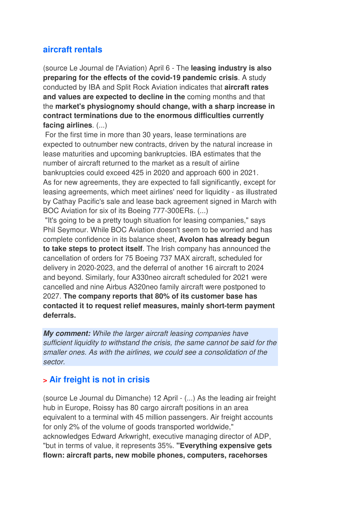## **aircraft rentals**

(source Le Journal de l'Aviation) April 6 - The **leasing industry is also preparing for the effects of the covid-19 pandemic crisis**. A study conducted by IBA and Split Rock Aviation indicates that **aircraft rates and values are expected to decline in the** coming months and that the **market's physiognomy should change, with a sharp increase in contract terminations due to the enormous difficulties currently facing airlines**. (...)

 For the first time in more than 30 years, lease terminations are expected to outnumber new contracts, driven by the natural increase in lease maturities and upcoming bankruptcies. IBA estimates that the number of aircraft returned to the market as a result of airline bankruptcies could exceed 425 in 2020 and approach 600 in 2021. As for new agreements, they are expected to fall significantly, except for leasing agreements, which meet airlines' need for liquidity - as illustrated by Cathay Pacific's sale and lease back agreement signed in March with BOC Aviation for six of its Boeing 777-300ERs. (...)

 "It's going to be a pretty tough situation for leasing companies," says Phil Seymour. While BOC Aviation doesn't seem to be worried and has complete confidence in its balance sheet, **Avolon has already begun to take steps to protect itself**. The Irish company has announced the cancellation of orders for 75 Boeing 737 MAX aircraft, scheduled for delivery in 2020-2023, and the deferral of another 16 aircraft to 2024 and beyond. Similarly, four A330neo aircraft scheduled for 2021 were cancelled and nine Airbus A320neo family aircraft were postponed to 2027. **The company reports that 80% of its customer base has contacted it to request relief measures, mainly short-term payment deferrals.**

*My comment:* While the larger aircraft leasing companies have sufficient liquidity to withstand the crisis, the same cannot be said for the smaller ones. As with the airlines, we could see a consolidation of the sector.

## **> Air freight is not in crisis**

(source Le Journal du Dimanche) 12 April - (...) As the leading air freight hub in Europe, Roissy has 80 cargo aircraft positions in an area equivalent to a terminal with 45 million passengers. Air freight accounts for only 2% of the volume of goods transported worldwide," acknowledges Edward Arkwright, executive managing director of ADP, "but in terms of value, it represents 35%. **"Everything expensive gets flown: aircraft parts, new mobile phones, computers, racehorses**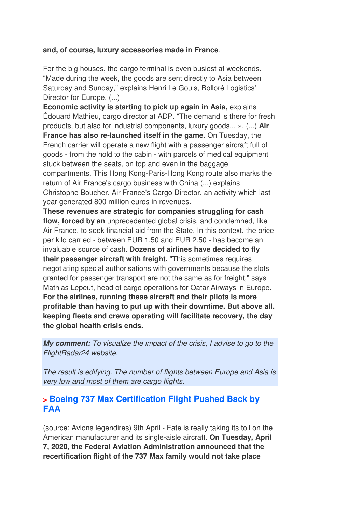#### **and, of course, luxury accessories made in France**.

For the big houses, the cargo terminal is even busiest at weekends. "Made during the week, the goods are sent directly to Asia between Saturday and Sunday," explains Henri Le Gouis, Bolloré Logistics' Director for Europe. (...)

**Economic activity is starting to pick up again in Asia,** explains Édouard Mathieu, cargo director at ADP. "The demand is there for fresh products, but also for industrial components, luxury goods... ». (...) **Air France has also re-launched itself in the game**. On Tuesday, the French carrier will operate a new flight with a passenger aircraft full of goods - from the hold to the cabin - with parcels of medical equipment stuck between the seats, on top and even in the baggage compartments. This Hong Kong-Paris-Hong Kong route also marks the return of Air France's cargo business with China (...) explains Christophe Boucher, Air France's Cargo Director, an activity which last year generated 800 million euros in revenues.

**These revenues are strategic for companies struggling for cash flow, forced by an** unprecedented global crisis, and condemned, like Air France, to seek financial aid from the State. In this context, the price per kilo carried - between EUR 1.50 and EUR 2.50 - has become an invaluable source of cash. **Dozens of airlines have decided to fly their passenger aircraft with freight.** "This sometimes requires negotiating special authorisations with governments because the slots granted for passenger transport are not the same as for freight," says Mathias Lepeut, head of cargo operations for Qatar Airways in Europe. **For the airlines, running these aircraft and their pilots is more profitable than having to put up with their downtime. But above all, keeping fleets and crews operating will facilitate recovery, the day the global health crisis ends.**

*My comment:* To visualize the impact of the crisis, I advise to go to the FlightRadar24 website.

The result is edifying. The number of flights between Europe and Asia is very low and most of them are cargo flights.

### **> Boeing 737 Max Certification Flight Pushed Back by FAA**

(source: Avions légendires) 9th April - Fate is really taking its toll on the American manufacturer and its single-aisle aircraft. **On Tuesday, April 7, 2020, the Federal Aviation Administration announced that the recertification flight of the 737 Max family would not take place**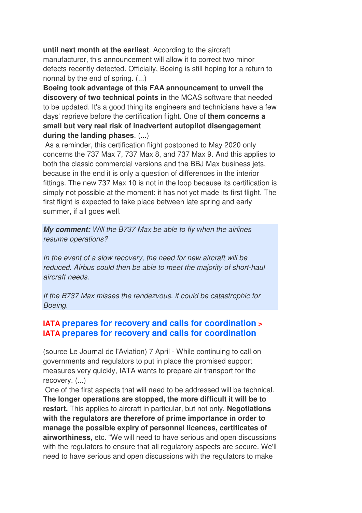**until next month at the earliest**. According to the aircraft manufacturer, this announcement will allow it to correct two minor defects recently detected. Officially, Boeing is still hoping for a return to normal by the end of spring. (...)

**Boeing took advantage of this FAA announcement to unveil the discovery of two technical points in** the MCAS software that needed to be updated. It's a good thing its engineers and technicians have a few days' reprieve before the certification flight. One of **them concerns a small but very real risk of inadvertent autopilot disengagement during the landing phases**. (...)

 As a reminder, this certification flight postponed to May 2020 only concerns the 737 Max 7, 737 Max 8, and 737 Max 9. And this applies to both the classic commercial versions and the BBJ Max business jets, because in the end it is only a question of differences in the interior fittings. The new 737 Max 10 is not in the loop because its certification is simply not possible at the moment: it has not yet made its first flight. The first flight is expected to take place between late spring and early summer, if all goes well.

*My comment:* Will the B737 Max be able to fly when the airlines resume operations?

In the event of a slow recovery, the need for new aircraft will be reduced. Airbus could then be able to meet the majority of short-haul aircraft needs.

If the B737 Max misses the rendezvous, it could be catastrophic for Boeing.

## **IATA prepares for recovery and calls for coordination > IATA prepares for recovery and calls for coordination**

(source Le Journal de l'Aviation) 7 April - While continuing to call on governments and regulators to put in place the promised support measures very quickly, IATA wants to prepare air transport for the recovery. (...)

 One of the first aspects that will need to be addressed will be technical. **The longer operations are stopped, the more difficult it will be to restart.** This applies to aircraft in particular, but not only. **Negotiations with the regulators are therefore of prime importance in order to manage the possible expiry of personnel licences, certificates of airworthiness,** etc. "We will need to have serious and open discussions with the regulators to ensure that all regulatory aspects are secure. We'll need to have serious and open discussions with the regulators to make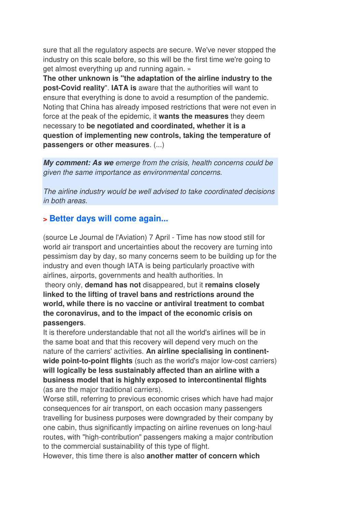sure that all the regulatory aspects are secure. We've never stopped the industry on this scale before, so this will be the first time we're going to get almost everything up and running again. »

**The other unknown is "the adaptation of the airline industry to the post-Covid reality**". **IATA is** aware that the authorities will want to ensure that everything is done to avoid a resumption of the pandemic. Noting that China has already imposed restrictions that were not even in force at the peak of the epidemic, it **wants the measures** they deem necessary to **be negotiated and coordinated, whether it is a question of implementing new controls, taking the temperature of passengers or other measures**. (...)

*My comment: As we* emerge from the crisis, health concerns could be given the same importance as environmental concerns.

The airline industry would be well advised to take coordinated decisions in both areas.

## **> Better days will come again...**

(source Le Journal de l'Aviation) 7 April - Time has now stood still for world air transport and uncertainties about the recovery are turning into pessimism day by day, so many concerns seem to be building up for the industry and even though IATA is being particularly proactive with airlines, airports, governments and health authorities. In

 theory only, **demand has not** disappeared, but it **remains closely linked to the lifting of travel bans and restrictions around the world, while there is no vaccine or antiviral treatment to combat the coronavirus, and to the impact of the economic crisis on passengers**.

It is therefore understandable that not all the world's airlines will be in the same boat and that this recovery will depend very much on the nature of the carriers' activities. **An airline specialising in continentwide point-to-point flights** (such as the world's major low-cost carriers) **will logically be less sustainably affected than an airline with a business model that is highly exposed to intercontinental flights** (as are the major traditional carriers).

Worse still, referring to previous economic crises which have had major consequences for air transport, on each occasion many passengers travelling for business purposes were downgraded by their company by one cabin, thus significantly impacting on airline revenues on long-haul routes, with "high-contribution" passengers making a major contribution to the commercial sustainability of this type of flight.

However, this time there is also **another matter of concern which**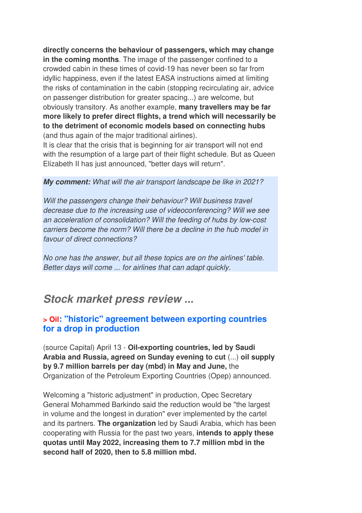**directly concerns the behaviour of passengers, which may change in the coming months**. The image of the passenger confined to a crowded cabin in these times of covid-19 has never been so far from idyllic happiness, even if the latest EASA instructions aimed at limiting the risks of contamination in the cabin (stopping recirculating air, advice on passenger distribution for greater spacing...) are welcome, but obviously transitory. As another example, **many travellers may be far more likely to prefer direct flights, a trend which will necessarily be to the detriment of economic models based on connecting hubs** (and thus again of the major traditional airlines).

It is clear that the crisis that is beginning for air transport will not end with the resumption of a large part of their flight schedule. But as Queen Elizabeth II has just announced, "better days will return".

#### *My comment:* What will the air transport landscape be like in 2021?

Will the passengers change their behaviour? Will business travel decrease due to the increasing use of videoconferencing? Will we see an acceleration of consolidation? Will the feeding of hubs by low-cost carriers become the norm? Will there be a decline in the hub model in favour of direct connections?

No one has the answer, but all these topics are on the airlines' table. Better days will come ... for airlines that can adapt quickly.

## *Stock market press review ...*

#### **> Oil: "historic" agreement between exporting countries for a drop in production**

(source Capital) April 13 - **Oil-exporting countries, led by Saudi Arabia and Russia, agreed on Sunday evening to cut** (...) **oil supply by 9.7 million barrels per day (mbd) in May and June,** the Organization of the Petroleum Exporting Countries (Opep) announced.

Welcoming a "historic adjustment" in production, Opec Secretary General Mohammed Barkindo said the reduction would be "the largest in volume and the longest in duration" ever implemented by the cartel and its partners. **The organization** led by Saudi Arabia, which has been cooperating with Russia for the past two years, **intends to apply these quotas until May 2022, increasing them to 7.7 million mbd in the second half of 2020, then to 5.8 million mbd.**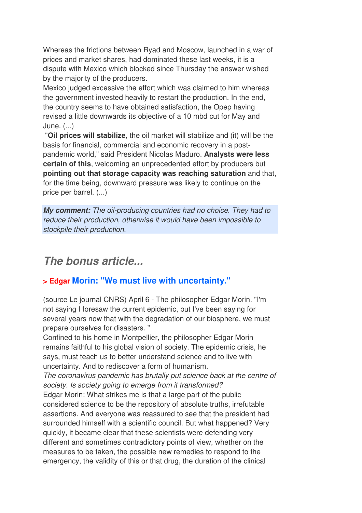Whereas the frictions between Ryad and Moscow, launched in a war of prices and market shares, had dominated these last weeks, it is a dispute with Mexico which blocked since Thursday the answer wished by the majority of the producers.

Mexico judged excessive the effort which was claimed to him whereas the government invested heavily to restart the production. In the end, the country seems to have obtained satisfaction, the Opep having revised a little downwards its objective of a 10 mbd cut for May and June. (...)

 "**Oil prices will stabilize**, the oil market will stabilize and (it) will be the basis for financial, commercial and economic recovery in a postpandemic world," said President Nicolas Maduro. **Analysts were less certain of this**, welcoming an unprecedented effort by producers but **pointing out that storage capacity was reaching saturation** and that, for the time being, downward pressure was likely to continue on the price per barrel. (...)

*My comment:* The oil-producing countries had no choice. They had to reduce their production, otherwise it would have been impossible to stockpile their production.

## *The bonus article...*

## **> Edgar Morin: "We must live with uncertainty."**

(source Le journal CNRS) April 6 - The philosopher Edgar Morin. "I'm not saying I foresaw the current epidemic, but I've been saying for several years now that with the degradation of our biosphere, we must prepare ourselves for disasters. "

Confined to his home in Montpellier, the philosopher Edgar Morin remains faithful to his global vision of society. The epidemic crisis, he says, must teach us to better understand science and to live with uncertainty. And to rediscover a form of humanism.

The coronavirus pandemic has brutally put science back at the centre of society. Is society going to emerge from it transformed?

Edgar Morin: What strikes me is that a large part of the public considered science to be the repository of absolute truths, irrefutable assertions. And everyone was reassured to see that the president had surrounded himself with a scientific council. But what happened? Very quickly, it became clear that these scientists were defending very different and sometimes contradictory points of view, whether on the measures to be taken, the possible new remedies to respond to the emergency, the validity of this or that drug, the duration of the clinical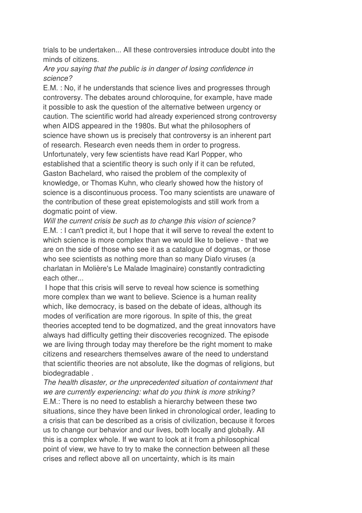trials to be undertaken... All these controversies introduce doubt into the minds of citizens.

### Are you saying that the public is in danger of losing confidence in science?

E.M. : No, if he understands that science lives and progresses through controversy. The debates around chloroquine, for example, have made it possible to ask the question of the alternative between urgency or caution. The scientific world had already experienced strong controversy when AIDS appeared in the 1980s. But what the philosophers of science have shown us is precisely that controversy is an inherent part of research. Research even needs them in order to progress. Unfortunately, very few scientists have read Karl Popper, who established that a scientific theory is such only if it can be refuted, Gaston Bachelard, who raised the problem of the complexity of knowledge, or Thomas Kuhn, who clearly showed how the history of science is a discontinuous process. Too many scientists are unaware of the contribution of these great epistemologists and still work from a dogmatic point of view.

Will the current crisis be such as to change this vision of science? E.M. : I can't predict it, but I hope that it will serve to reveal the extent to which science is more complex than we would like to believe - that we are on the side of those who see it as a catalogue of dogmas, or those who see scientists as nothing more than so many Diafo viruses (a charlatan in Molière's Le Malade Imaginaire) constantly contradicting each other...

 I hope that this crisis will serve to reveal how science is something more complex than we want to believe. Science is a human reality which, like democracy, is based on the debate of ideas, although its modes of verification are more rigorous. In spite of this, the great theories accepted tend to be dogmatized, and the great innovators have always had difficulty getting their discoveries recognized. The episode we are living through today may therefore be the right moment to make citizens and researchers themselves aware of the need to understand that scientific theories are not absolute, like the dogmas of religions, but biodegradable .

The health disaster, or the unprecedented situation of containment that we are currently experiencing: what do you think is more striking? E.M.: There is no need to establish a hierarchy between these two situations, since they have been linked in chronological order, leading to a crisis that can be described as a crisis of civilization, because it forces us to change our behavior and our lives, both locally and globally. All this is a complex whole. If we want to look at it from a philosophical point of view, we have to try to make the connection between all these crises and reflect above all on uncertainty, which is its main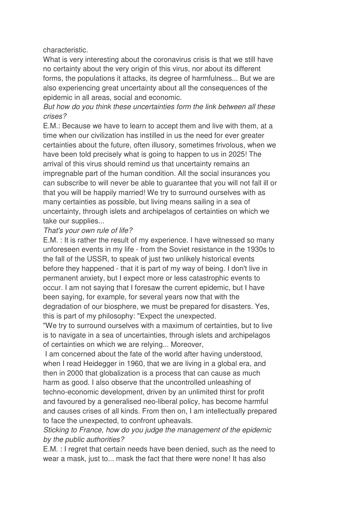#### characteristic.

What is very interesting about the coronavirus crisis is that we still have no certainty about the very origin of this virus, nor about its different forms, the populations it attacks, its degree of harmfulness... But we are also experiencing great uncertainty about all the consequences of the epidemic in all areas, social and economic.

#### But how do you think these uncertainties form the link between all these crises?

E.M.: Because we have to learn to accept them and live with them, at a time when our civilization has instilled in us the need for ever greater certainties about the future, often illusory, sometimes frivolous, when we have been told precisely what is going to happen to us in 2025! The arrival of this virus should remind us that uncertainty remains an impregnable part of the human condition. All the social insurances you can subscribe to will never be able to guarantee that you will not fall ill or that you will be happily married! We try to surround ourselves with as many certainties as possible, but living means sailing in a sea of uncertainty, through islets and archipelagos of certainties on which we take our supplies...

#### That's your own rule of life?

E.M. : It is rather the result of my experience. I have witnessed so many unforeseen events in my life - from the Soviet resistance in the 1930s to the fall of the USSR, to speak of just two unlikely historical events before they happened - that it is part of my way of being. I don't live in permanent anxiety, but I expect more or less catastrophic events to occur. I am not saying that I foresaw the current epidemic, but I have been saying, for example, for several years now that with the degradation of our biosphere, we must be prepared for disasters. Yes, this is part of my philosophy: "Expect the unexpected.

"We try to surround ourselves with a maximum of certainties, but to live is to navigate in a sea of uncertainties, through islets and archipelagos of certainties on which we are relying... Moreover,

 I am concerned about the fate of the world after having understood, when I read Heidegger in 1960, that we are living in a global era, and then in 2000 that globalization is a process that can cause as much harm as good. I also observe that the uncontrolled unleashing of techno-economic development, driven by an unlimited thirst for profit and favoured by a generalised neo-liberal policy, has become harmful and causes crises of all kinds. From then on, I am intellectually prepared to face the unexpected, to confront upheavals.

#### Sticking to France, how do you judge the management of the epidemic by the public authorities?

E.M. : I regret that certain needs have been denied, such as the need to wear a mask, just to... mask the fact that there were none! It has also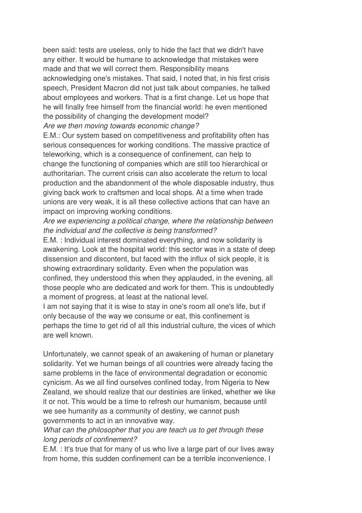been said: tests are useless, only to hide the fact that we didn't have any either. It would be humane to acknowledge that mistakes were made and that we will correct them. Responsibility means acknowledging one's mistakes. That said, I noted that, in his first crisis speech, President Macron did not just talk about companies, he talked about employees and workers. That is a first change. Let us hope that he will finally free himself from the financial world: he even mentioned the possibility of changing the development model? Are we then moving towards economic change?

E.M.: Our system based on competitiveness and profitability often has serious consequences for working conditions. The massive practice of teleworking, which is a consequence of confinement, can help to change the functioning of companies which are still too hierarchical or authoritarian. The current crisis can also accelerate the return to local production and the abandonment of the whole disposable industry, thus giving back work to craftsmen and local shops. At a time when trade unions are very weak, it is all these collective actions that can have an impact on improving working conditions.

Are we experiencing a political change, where the relationship between the individual and the collective is being transformed?

E.M. : Individual interest dominated everything, and now solidarity is awakening. Look at the hospital world: this sector was in a state of deep dissension and discontent, but faced with the influx of sick people, it is showing extraordinary solidarity. Even when the population was confined, they understood this when they applauded, in the evening, all those people who are dedicated and work for them. This is undoubtedly a moment of progress, at least at the national level.

I am not saying that it is wise to stay in one's room all one's life, but if only because of the way we consume or eat, this confinement is perhaps the time to get rid of all this industrial culture, the vices of which are well known.

Unfortunately, we cannot speak of an awakening of human or planetary solidarity. Yet we human beings of all countries were already facing the same problems in the face of environmental degradation or economic cynicism. As we all find ourselves confined today, from Nigeria to New Zealand, we should realize that our destinies are linked, whether we like it or not. This would be a time to refresh our humanism, because until we see humanity as a community of destiny, we cannot push governments to act in an innovative way.

What can the philosopher that you are teach us to get through these long periods of confinement?

E.M. : It's true that for many of us who live a large part of our lives away from home, this sudden confinement can be a terrible inconvenience. I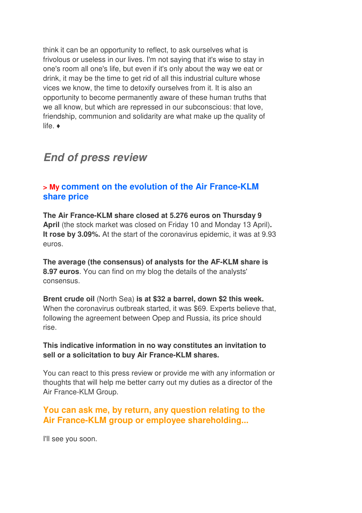think it can be an opportunity to reflect, to ask ourselves what is frivolous or useless in our lives. I'm not saying that it's wise to stay in one's room all one's life, but even if it's only about the way we eat or drink, it may be the time to get rid of all this industrial culture whose vices we know, the time to detoxify ourselves from it. It is also an opportunity to become permanently aware of these human truths that we all know, but which are repressed in our subconscious: that love, friendship, communion and solidarity are what make up the quality of life. ♦

## *End of press review*

## **> My comment on the evolution of the Air France-KLM share price**

**The Air France-KLM share closed at 5.276 euros on Thursday 9 April** (the stock market was closed on Friday 10 and Monday 13 April)**. It rose by 3.09%.** At the start of the coronavirus epidemic, it was at 9.93 euros.

**The average (the consensus) of analysts for the AF-KLM share is 8.97 euros**. You can find on my blog the details of the analysts' consensus.

**Brent crude oil** (North Sea) **is at \$32 a barrel, down \$2 this week.**  When the coronavirus outbreak started, it was \$69. Experts believe that, following the agreement between Opep and Russia, its price should rise.

#### **This indicative information in no way constitutes an invitation to sell or a solicitation to buy Air France-KLM shares.**

You can react to this press review or provide me with any information or thoughts that will help me better carry out my duties as a director of the Air France-KLM Group.

## **You can ask me, by return, any question relating to the Air France-KLM group or employee shareholding...**

I'll see you soon.